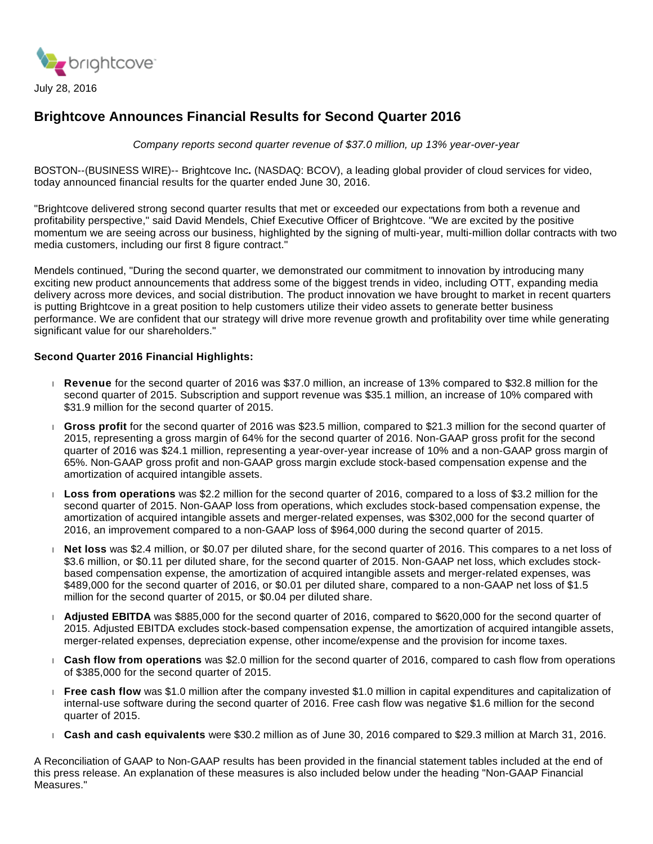

# **Brightcove Announces Financial Results for Second Quarter 2016**

Company reports second quarter revenue of \$37.0 million, up 13% year-over-year

BOSTON--(BUSINESS WIRE)-- Brightcove Inc**.** (NASDAQ: BCOV), a leading global provider of cloud services for video, today announced financial results for the quarter ended June 30, 2016.

"Brightcove delivered strong second quarter results that met or exceeded our expectations from both a revenue and profitability perspective," said David Mendels, Chief Executive Officer of Brightcove. "We are excited by the positive momentum we are seeing across our business, highlighted by the signing of multi-year, multi-million dollar contracts with two media customers, including our first 8 figure contract."

Mendels continued, "During the second quarter, we demonstrated our commitment to innovation by introducing many exciting new product announcements that address some of the biggest trends in video, including OTT, expanding media delivery across more devices, and social distribution. The product innovation we have brought to market in recent quarters is putting Brightcove in a great position to help customers utilize their video assets to generate better business performance. We are confident that our strategy will drive more revenue growth and profitability over time while generating significant value for our shareholders."

### **Second Quarter 2016 Financial Highlights:**

- **Revenue** for the second quarter of 2016 was \$37.0 million, an increase of 13% compared to \$32.8 million for the second quarter of 2015. Subscription and support revenue was \$35.1 million, an increase of 10% compared with \$31.9 million for the second quarter of 2015.
- **Gross profit** for the second quarter of 2016 was \$23.5 million, compared to \$21.3 million for the second quarter of 2015, representing a gross margin of 64% for the second quarter of 2016. Non-GAAP gross profit for the second quarter of 2016 was \$24.1 million, representing a year-over-year increase of 10% and a non-GAAP gross margin of 65%. Non-GAAP gross profit and non-GAAP gross margin exclude stock-based compensation expense and the amortization of acquired intangible assets.
- **Loss from operations** was \$2.2 million for the second quarter of 2016, compared to a loss of \$3.2 million for the second quarter of 2015. Non-GAAP loss from operations, which excludes stock-based compensation expense, the amortization of acquired intangible assets and merger-related expenses, was \$302,000 for the second quarter of 2016, an improvement compared to a non-GAAP loss of \$964,000 during the second quarter of 2015.
- **Net loss** was \$2.4 million, or \$0.07 per diluted share, for the second quarter of 2016. This compares to a net loss of \$3.6 million, or \$0.11 per diluted share, for the second quarter of 2015. Non-GAAP net loss, which excludes stockbased compensation expense, the amortization of acquired intangible assets and merger-related expenses, was \$489,000 for the second quarter of 2016, or \$0.01 per diluted share, compared to a non-GAAP net loss of \$1.5 million for the second quarter of 2015, or \$0.04 per diluted share.
- **Adjusted EBITDA** was \$885,000 for the second quarter of 2016, compared to \$620,000 for the second quarter of 2015. Adjusted EBITDA excludes stock-based compensation expense, the amortization of acquired intangible assets, merger-related expenses, depreciation expense, other income/expense and the provision for income taxes.
- **Cash flow from operations** was \$2.0 million for the second quarter of 2016, compared to cash flow from operations of \$385,000 for the second quarter of 2015.
- **Free cash flow** was \$1.0 million after the company invested \$1.0 million in capital expenditures and capitalization of internal-use software during the second quarter of 2016. Free cash flow was negative \$1.6 million for the second quarter of 2015.
- **Cash and cash equivalents** were \$30.2 million as of June 30, 2016 compared to \$29.3 million at March 31, 2016.

A Reconciliation of GAAP to Non-GAAP results has been provided in the financial statement tables included at the end of this press release. An explanation of these measures is also included below under the heading "Non-GAAP Financial Measures."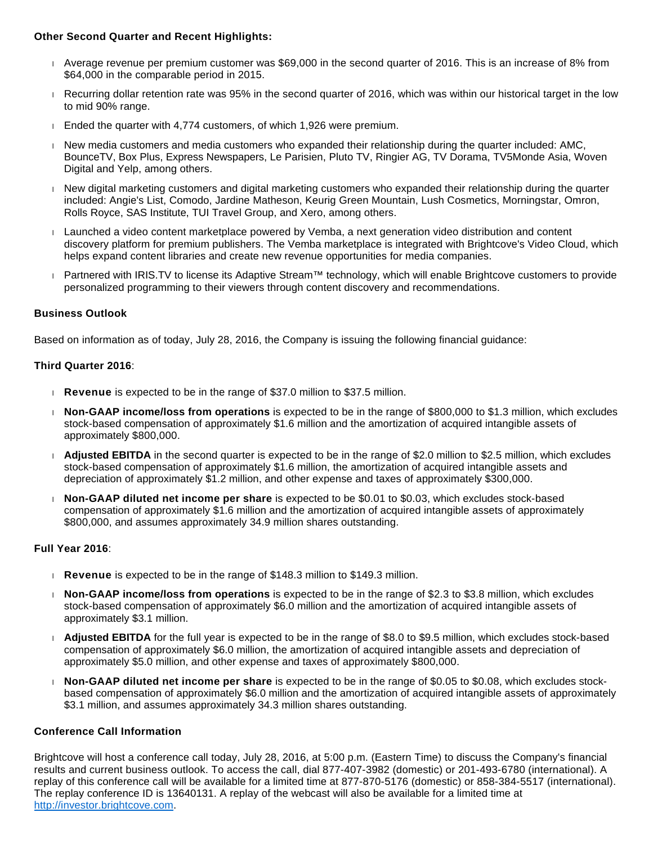#### **Other Second Quarter and Recent Highlights:**

- Average revenue per premium customer was \$69,000 in the second quarter of 2016. This is an increase of 8% from \$64,000 in the comparable period in 2015.
- Recurring dollar retention rate was 95% in the second quarter of 2016, which was within our historical target in the low to mid 90% range.
- $\overline{E}$  Ended the quarter with 4,774 customers, of which 1,926 were premium.
- $\blacksquare$  New media customers and media customers who expanded their relationship during the quarter included: AMC, BounceTV, Box Plus, Express Newspapers, Le Parisien, Pluto TV, Ringier AG, TV Dorama, TV5Monde Asia, Woven Digital and Yelp, among others.
- New digital marketing customers and digital marketing customers who expanded their relationship during the quarter included: Angie's List, Comodo, Jardine Matheson, Keurig Green Mountain, Lush Cosmetics, Morningstar, Omron, Rolls Royce, SAS Institute, TUI Travel Group, and Xero, among others.
- Launched a video content marketplace powered by Vemba, a next generation video distribution and content discovery platform for premium publishers. The Vemba marketplace is integrated with Brightcove's Video Cloud, which helps expand content libraries and create new revenue opportunities for media companies.
- Partnered with IRIS.TV to license its Adaptive Stream™ technology, which will enable Brightcove customers to provide personalized programming to their viewers through content discovery and recommendations.

### **Business Outlook**

Based on information as of today, July 28, 2016, the Company is issuing the following financial guidance:

### **Third Quarter 2016**:

- **Revenue** is expected to be in the range of \$37.0 million to \$37.5 million.
- **Non-GAAP income/loss from operations** is expected to be in the range of \$800,000 to \$1.3 million, which excludes stock-based compensation of approximately \$1.6 million and the amortization of acquired intangible assets of approximately \$800,000.
- **Adjusted EBITDA** in the second quarter is expected to be in the range of \$2.0 million to \$2.5 million, which excludes stock-based compensation of approximately \$1.6 million, the amortization of acquired intangible assets and depreciation of approximately \$1.2 million, and other expense and taxes of approximately \$300,000.
- **Non-GAAP diluted net income per share** is expected to be \$0.01 to \$0.03, which excludes stock-based compensation of approximately \$1.6 million and the amortization of acquired intangible assets of approximately \$800,000, and assumes approximately 34.9 million shares outstanding.

# **Full Year 2016**:

- **Revenue** is expected to be in the range of \$148.3 million to \$149.3 million.
- **Non-GAAP income/loss from operations** is expected to be in the range of \$2.3 to \$3.8 million, which excludes stock-based compensation of approximately \$6.0 million and the amortization of acquired intangible assets of approximately \$3.1 million.
- **Adjusted EBITDA** for the full year is expected to be in the range of \$8.0 to \$9.5 million, which excludes stock-based compensation of approximately \$6.0 million, the amortization of acquired intangible assets and depreciation of approximately \$5.0 million, and other expense and taxes of approximately \$800,000.
- **Non-GAAP diluted net income per share** is expected to be in the range of \$0.05 to \$0.08, which excludes stockbased compensation of approximately \$6.0 million and the amortization of acquired intangible assets of approximately \$3.1 million, and assumes approximately 34.3 million shares outstanding.

# **Conference Call Information**

Brightcove will host a conference call today, July 28, 2016, at 5:00 p.m. (Eastern Time) to discuss the Company's financial results and current business outlook. To access the call, dial 877-407-3982 (domestic) or 201-493-6780 (international). A replay of this conference call will be available for a limited time at 877-870-5176 (domestic) or 858-384-5517 (international). The replay conference ID is 13640131. A replay of the webcast will also be available for a limited time at [http://investor.brightcove.com.](http://cts.businesswire.com/ct/CT?id=smartlink&url=http%3A%2F%2Finvestor.brightcove.com%2F&esheet=51391455&newsitemid=20160728006496&lan=en-US&anchor=http%3A%2F%2Finvestor.brightcove.com&index=1&md5=0d9dcd9c1d373e3f20607d80be54200d)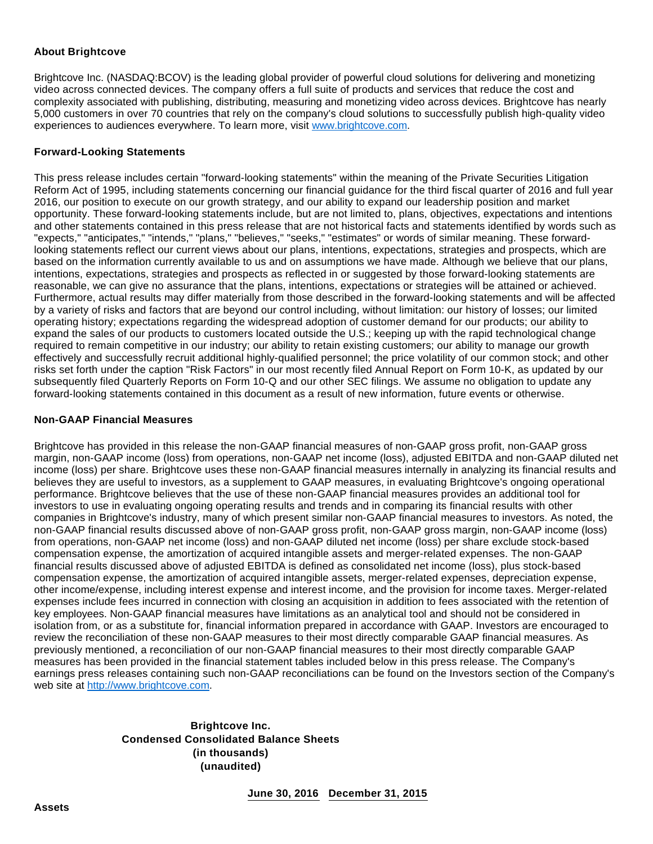## **About Brightcove**

Brightcove Inc. (NASDAQ:BCOV) is the leading global provider of powerful cloud solutions for delivering and monetizing video across connected devices. The company offers a full suite of products and services that reduce the cost and complexity associated with publishing, distributing, measuring and monetizing video across devices. Brightcove has nearly 5,000 customers in over 70 countries that rely on the company's cloud solutions to successfully publish high-quality video experiences to audiences everywhere. To learn more, visit [www.brightcove.com.](http://cts.businesswire.com/ct/CT?id=smartlink&url=https%3A%2F%2Fprotect-us.mimecast.com%2Fs%2F4Qn1BECVeJlVCd&esheet=51391455&newsitemid=20160728006496&lan=en-US&anchor=www.brightcove.com&index=2&md5=ad7b3d15026fe1e8c8809d19aa8ff6ea)

### **Forward-Looking Statements**

This press release includes certain "forward-looking statements" within the meaning of the Private Securities Litigation Reform Act of 1995, including statements concerning our financial guidance for the third fiscal quarter of 2016 and full year 2016, our position to execute on our growth strategy, and our ability to expand our leadership position and market opportunity. These forward-looking statements include, but are not limited to, plans, objectives, expectations and intentions and other statements contained in this press release that are not historical facts and statements identified by words such as "expects," "anticipates," "intends," "plans," "believes," "seeks," "estimates" or words of similar meaning. These forwardlooking statements reflect our current views about our plans, intentions, expectations, strategies and prospects, which are based on the information currently available to us and on assumptions we have made. Although we believe that our plans, intentions, expectations, strategies and prospects as reflected in or suggested by those forward-looking statements are reasonable, we can give no assurance that the plans, intentions, expectations or strategies will be attained or achieved. Furthermore, actual results may differ materially from those described in the forward-looking statements and will be affected by a variety of risks and factors that are beyond our control including, without limitation: our history of losses; our limited operating history; expectations regarding the widespread adoption of customer demand for our products; our ability to expand the sales of our products to customers located outside the U.S.; keeping up with the rapid technological change required to remain competitive in our industry; our ability to retain existing customers; our ability to manage our growth effectively and successfully recruit additional highly-qualified personnel; the price volatility of our common stock; and other risks set forth under the caption "Risk Factors" in our most recently filed Annual Report on Form 10-K, as updated by our subsequently filed Quarterly Reports on Form 10-Q and our other SEC filings. We assume no obligation to update any forward-looking statements contained in this document as a result of new information, future events or otherwise.

#### **Non-GAAP Financial Measures**

Brightcove has provided in this release the non-GAAP financial measures of non-GAAP gross profit, non-GAAP gross margin, non-GAAP income (loss) from operations, non-GAAP net income (loss), adjusted EBITDA and non-GAAP diluted net income (loss) per share. Brightcove uses these non-GAAP financial measures internally in analyzing its financial results and believes they are useful to investors, as a supplement to GAAP measures, in evaluating Brightcove's ongoing operational performance. Brightcove believes that the use of these non-GAAP financial measures provides an additional tool for investors to use in evaluating ongoing operating results and trends and in comparing its financial results with other companies in Brightcove's industry, many of which present similar non-GAAP financial measures to investors. As noted, the non-GAAP financial results discussed above of non-GAAP gross profit, non-GAAP gross margin, non-GAAP income (loss) from operations, non-GAAP net income (loss) and non-GAAP diluted net income (loss) per share exclude stock-based compensation expense, the amortization of acquired intangible assets and merger-related expenses. The non-GAAP financial results discussed above of adjusted EBITDA is defined as consolidated net income (loss), plus stock-based compensation expense, the amortization of acquired intangible assets, merger-related expenses, depreciation expense, other income/expense, including interest expense and interest income, and the provision for income taxes. Merger-related expenses include fees incurred in connection with closing an acquisition in addition to fees associated with the retention of key employees. Non-GAAP financial measures have limitations as an analytical tool and should not be considered in isolation from, or as a substitute for, financial information prepared in accordance with GAAP. Investors are encouraged to review the reconciliation of these non-GAAP measures to their most directly comparable GAAP financial measures. As previously mentioned, a reconciliation of our non-GAAP financial measures to their most directly comparable GAAP measures has been provided in the financial statement tables included below in this press release. The Company's earnings press releases containing such non-GAAP reconciliations can be found on the Investors section of the Company's web site at [http://www.brightcove.com](http://cts.businesswire.com/ct/CT?id=smartlink&url=http%3A%2F%2Fwww.brightcove.com%2F&esheet=51391455&newsitemid=20160728006496&lan=en-US&anchor=http%3A%2F%2Fwww.brightcove.com&index=3&md5=e3c0ab4c07cf9b206e0c74705b91afb2).

# **Brightcove Inc. Condensed Consolidated Balance Sheets (in thousands) (unaudited)**

**June 30, 2016 December 31, 2015**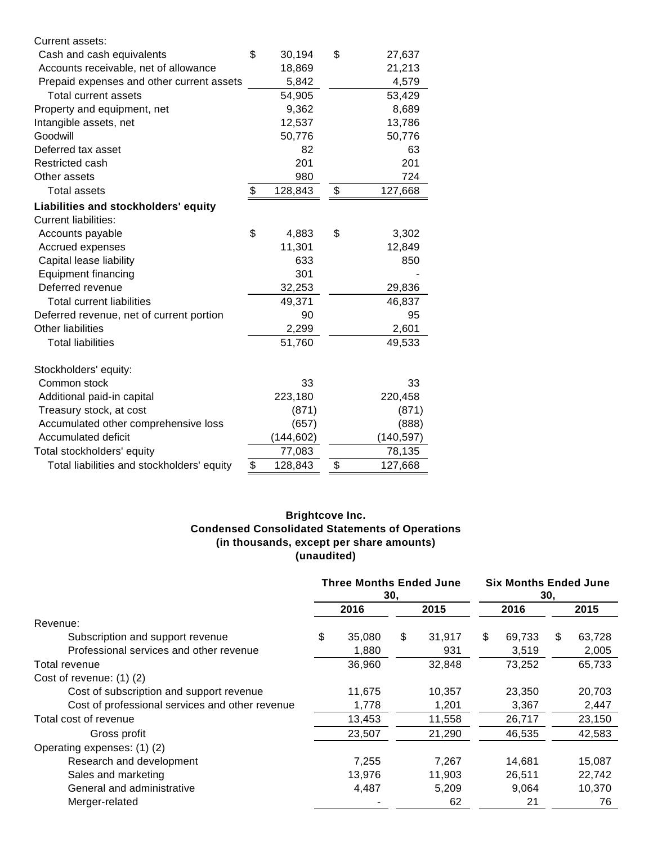| Current assets:                            |               |               |
|--------------------------------------------|---------------|---------------|
| Cash and cash equivalents                  | \$<br>30,194  | \$<br>27,637  |
| Accounts receivable, net of allowance      | 18,869        | 21,213        |
| Prepaid expenses and other current assets  | 5,842         | 4,579         |
| <b>Total current assets</b>                | 54,905        | 53,429        |
| Property and equipment, net                | 9,362         | 8,689         |
| Intangible assets, net                     | 12,537        | 13,786        |
| Goodwill                                   | 50,776        | 50,776        |
| Deferred tax asset                         | 82            | 63            |
| Restricted cash                            | 201           | 201           |
| Other assets                               | 980           | 724           |
| <b>Total assets</b>                        | \$<br>128,843 | \$<br>127,668 |
| Liabilities and stockholders' equity       |               |               |
| <b>Current liabilities:</b>                |               |               |
| Accounts payable                           | \$<br>4,883   | \$<br>3,302   |
| Accrued expenses                           | 11,301        | 12,849        |
| Capital lease liability                    | 633           | 850           |
| <b>Equipment financing</b>                 | 301           |               |
| Deferred revenue                           | 32,253        | 29,836        |
| <b>Total current liabilities</b>           | 49,371        | 46,837        |
| Deferred revenue, net of current portion   | 90            | 95            |
| <b>Other liabilities</b>                   | 2,299         | 2,601         |
| <b>Total liabilities</b>                   | 51,760        | 49,533        |
| Stockholders' equity:                      |               |               |
| Common stock                               | 33            | 33            |
| Additional paid-in capital                 | 223,180       | 220,458       |
| Treasury stock, at cost                    | (871)         | (871)         |
| Accumulated other comprehensive loss       | (657)         | (888)         |
| Accumulated deficit                        | (144, 602)    | (140, 597)    |
| Total stockholders' equity                 | 77,083        | 78,135        |
| Total liabilities and stockholders' equity | \$<br>128,843 | \$<br>127,668 |

# **Brightcove Inc. Condensed Consolidated Statements of Operations (in thousands, except per share amounts) (unaudited)**

|                                                 | <b>Three Months Ended June</b><br>30, |        |      |        | <b>Six Months Ended June</b><br>30, |        |     |        |
|-------------------------------------------------|---------------------------------------|--------|------|--------|-------------------------------------|--------|-----|--------|
|                                                 | 2016                                  |        | 2015 |        | 2016                                |        |     | 2015   |
| Revenue:                                        |                                       |        |      |        |                                     |        |     |        |
| Subscription and support revenue                | \$                                    | 35.080 | \$   | 31,917 | \$                                  | 69,733 | \$. | 63,728 |
| Professional services and other revenue         |                                       | 1,880  |      | 931    |                                     | 3,519  |     | 2,005  |
| Total revenue                                   |                                       | 36,960 |      | 32,848 |                                     | 73,252 |     | 65,733 |
| Cost of revenue: (1) (2)                        |                                       |        |      |        |                                     |        |     |        |
| Cost of subscription and support revenue        |                                       | 11,675 |      | 10,357 |                                     | 23,350 |     | 20,703 |
| Cost of professional services and other revenue |                                       | 1,778  |      | 1,201  |                                     | 3,367  |     | 2,447  |
| Total cost of revenue                           |                                       | 13,453 |      | 11,558 |                                     | 26,717 |     | 23,150 |
| Gross profit                                    |                                       | 23,507 |      | 21,290 |                                     | 46,535 |     | 42,583 |
| Operating expenses: (1) (2)                     |                                       |        |      |        |                                     |        |     |        |
| Research and development                        |                                       | 7,255  |      | 7,267  |                                     | 14,681 |     | 15,087 |
| Sales and marketing                             |                                       | 13,976 |      | 11,903 |                                     | 26,511 |     | 22,742 |
| General and administrative                      |                                       | 4,487  |      | 5,209  |                                     | 9.064  |     | 10,370 |
| Merger-related                                  |                                       |        |      | 62     |                                     | 21     |     | 76     |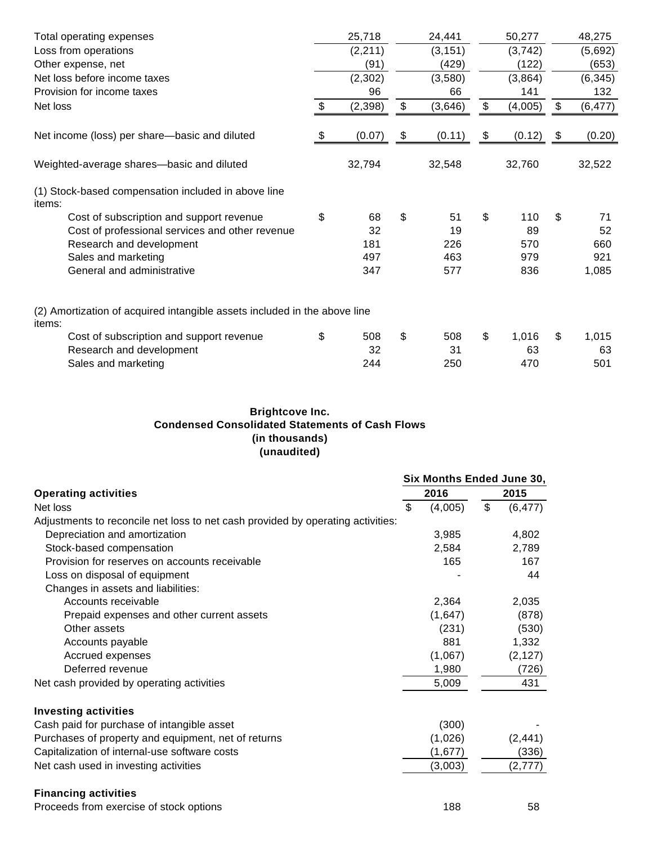| Total operating expenses                                                            | 25,718         | 24,441        | 50,277        |    | 48,275   |
|-------------------------------------------------------------------------------------|----------------|---------------|---------------|----|----------|
| Loss from operations                                                                | (2, 211)       | (3, 151)      | (3,742)       |    | (5,692)  |
| Other expense, net                                                                  | (91)           | (429)         | (122)         |    | (653)    |
| Net loss before income taxes                                                        | (2, 302)       | (3,580)       | (3,864)       |    | (6, 345) |
| Provision for income taxes                                                          | 96             | 66            | 141           |    | 132      |
| Net loss                                                                            | \$<br>(2, 398) | \$<br>(3,646) | \$<br>(4,005) | \$ | (6, 477) |
| Net income (loss) per share-basic and diluted                                       | \$<br>(0.07)   | \$<br>(0.11)  | \$<br>(0.12)  | S. | (0.20)   |
| Weighted-average shares-basic and diluted                                           | 32,794         | 32,548        | 32,760        |    | 32,522   |
| (1) Stock-based compensation included in above line<br>items:                       |                |               |               |    |          |
| Cost of subscription and support revenue                                            | \$<br>68       | \$<br>51      | \$<br>110     | \$ | 71       |
| Cost of professional services and other revenue                                     | 32             | 19            | 89            |    | 52       |
| Research and development                                                            | 181            | 226           | 570           |    | 660      |
| Sales and marketing                                                                 | 497            | 463           | 979           |    | 921      |
| General and administrative                                                          | 347            | 577           | 836           |    | 1,085    |
| (2) Amortization of acquired intangible assets included in the above line<br>items: |                |               |               |    |          |
| Cost of subscription and support revenue                                            | \$<br>508      | \$<br>508     | \$<br>1,016   | \$ | 1,015    |
| Research and development                                                            | 32             | 31            | 63            |    | 63       |
| Sales and marketing                                                                 | 244            | 250           | 470           |    | 501      |

# **Brightcove Inc. Condensed Consolidated Statements of Cash Flows (in thousands) (unaudited)**

|                                                                                 | Six Months Ended June 30, |         |      |          |  |  |  |
|---------------------------------------------------------------------------------|---------------------------|---------|------|----------|--|--|--|
| <b>Operating activities</b>                                                     |                           | 2016    | 2015 |          |  |  |  |
| Net loss                                                                        | \$                        | (4,005) | \$   | (6, 477) |  |  |  |
| Adjustments to reconcile net loss to net cash provided by operating activities: |                           |         |      |          |  |  |  |
| Depreciation and amortization                                                   |                           | 3,985   |      | 4,802    |  |  |  |
| Stock-based compensation                                                        |                           | 2,584   |      | 2,789    |  |  |  |
| Provision for reserves on accounts receivable                                   |                           | 165     |      | 167      |  |  |  |
| Loss on disposal of equipment                                                   |                           |         |      | 44       |  |  |  |
| Changes in assets and liabilities:                                              |                           |         |      |          |  |  |  |
| Accounts receivable                                                             |                           | 2,364   |      | 2,035    |  |  |  |
| Prepaid expenses and other current assets                                       |                           | (1,647) |      | (878)    |  |  |  |
| Other assets                                                                    |                           | (231)   |      | (530)    |  |  |  |
| Accounts payable                                                                |                           | 881     |      | 1,332    |  |  |  |
| Accrued expenses                                                                |                           | (1,067) |      | (2, 127) |  |  |  |
| Deferred revenue                                                                |                           | 1,980   |      | (726)    |  |  |  |
| Net cash provided by operating activities                                       |                           | 5,009   |      | 431      |  |  |  |
| <b>Investing activities</b>                                                     |                           |         |      |          |  |  |  |
| Cash paid for purchase of intangible asset                                      |                           | (300)   |      |          |  |  |  |
| Purchases of property and equipment, net of returns                             |                           | (1,026) |      | (2, 441) |  |  |  |
| Capitalization of internal-use software costs                                   |                           | (1,677) |      | (336)    |  |  |  |
| Net cash used in investing activities                                           |                           | (3,003) |      | (2, 777) |  |  |  |
| <b>Financing activities</b>                                                     |                           |         |      |          |  |  |  |
|                                                                                 |                           |         |      |          |  |  |  |

Proceeds from exercise of stock options 188 58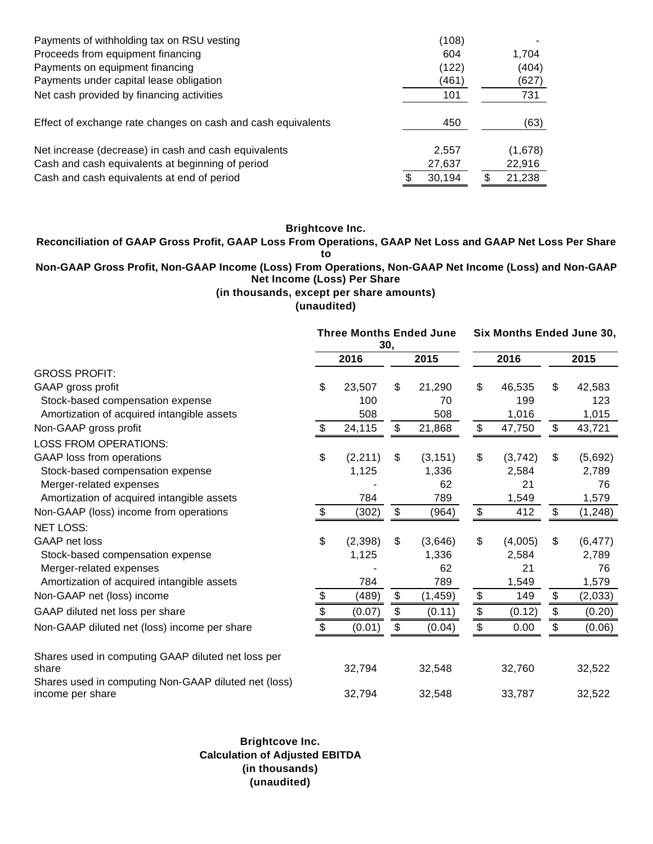| Payments of withholding tax on RSU vesting                   | (108)  |         |
|--------------------------------------------------------------|--------|---------|
| Proceeds from equipment financing                            | 604    | 1,704   |
| Payments on equipment financing                              | (122)  | (404)   |
| Payments under capital lease obligation                      | (461)  | (627)   |
| Net cash provided by financing activities                    | 101    | 731     |
| Effect of exchange rate changes on cash and cash equivalents | 450    | (63)    |
| Net increase (decrease) in cash and cash equivalents         | 2,557  | (1,678) |
| Cash and cash equivalents at beginning of period             | 27,637 | 22,916  |
| Cash and cash equivalents at end of period                   | 30,194 | 21,238  |

### **Brightcove Inc.**

# **Reconciliation of GAAP Gross Profit, GAAP Loss From Operations, GAAP Net Loss and GAAP Net Loss Per Share to**

# **Non-GAAP Gross Profit, Non-GAAP Income (Loss) From Operations, Non-GAAP Net Income (Loss) and Non-GAAP Net Income (Loss) Per Share**

# **(in thousands, except per share amounts)**

**(unaudited)**

|                                                             | <b>Three Months Ended June</b><br>30, |          |    | <b>Six Months Ended June 30,</b> |    |         |    |          |
|-------------------------------------------------------------|---------------------------------------|----------|----|----------------------------------|----|---------|----|----------|
|                                                             |                                       | 2016     |    | 2015                             |    | 2016    |    | 2015     |
| <b>GROSS PROFIT:</b>                                        |                                       |          |    |                                  |    |         |    |          |
| GAAP gross profit                                           | \$                                    | 23,507   | \$ | 21,290                           | \$ | 46,535  | \$ | 42,583   |
| Stock-based compensation expense                            |                                       | 100      |    | 70                               |    | 199     |    | 123      |
| Amortization of acquired intangible assets                  |                                       | 508      |    | 508                              |    | 1,016   |    | 1,015    |
| Non-GAAP gross profit                                       | $\boldsymbol{\mathsf{S}}$             | 24,115   | \$ | 21,868                           | \$ | 47,750  | \$ | 43,721   |
| <b>LOSS FROM OPERATIONS:</b>                                |                                       |          |    |                                  |    |         |    |          |
| GAAP loss from operations                                   | \$                                    | (2, 211) | \$ | (3, 151)                         | \$ | (3,742) | \$ | (5,692)  |
| Stock-based compensation expense                            |                                       | 1,125    |    | 1,336                            |    | 2,584   |    | 2,789    |
| Merger-related expenses                                     |                                       |          |    | 62                               |    | 21      |    | 76       |
| Amortization of acquired intangible assets                  |                                       | 784      |    | 789                              |    | 1,549   |    | 1,579    |
| Non-GAAP (loss) income from operations                      | \$                                    | (302)    | \$ | (964)                            | \$ | 412     | \$ | (1, 248) |
| <b>NET LOSS:</b>                                            |                                       |          |    |                                  |    |         |    |          |
| <b>GAAP</b> net loss                                        | \$                                    | (2,398)  | \$ | (3,646)                          | \$ | (4,005) | \$ | (6, 477) |
| Stock-based compensation expense                            |                                       | 1,125    |    | 1,336                            |    | 2,584   |    | 2,789    |
| Merger-related expenses                                     |                                       |          |    | 62                               |    | 21      |    | 76       |
| Amortization of acquired intangible assets                  |                                       | 784      |    | 789                              |    | 1,549   |    | 1,579    |
| Non-GAAP net (loss) income                                  | $\frac{1}{2}$                         | (489)    | \$ | (1, 459)                         | \$ | 149     | \$ | (2,033)  |
| GAAP diluted net loss per share                             | $\overline{\mathbf{e}}$               | (0.07)   | \$ | (0.11)                           | \$ | (0.12)  | \$ | (0.20)   |
| Non-GAAP diluted net (loss) income per share                | $\overline{\mathcal{S}}$              | (0.01)   | \$ | (0.04)                           | \$ | 0.00    | \$ | (0.06)   |
| Shares used in computing GAAP diluted net loss per<br>share |                                       | 32,794   |    | 32,548                           |    | 32,760  |    | 32,522   |
| Shares used in computing Non-GAAP diluted net (loss)        |                                       |          |    |                                  |    |         |    |          |
| income per share                                            |                                       | 32,794   |    | 32,548                           |    | 33,787  |    | 32,522   |

# **Brightcove Inc. Calculation of Adjusted EBITDA (in thousands) (unaudited)**